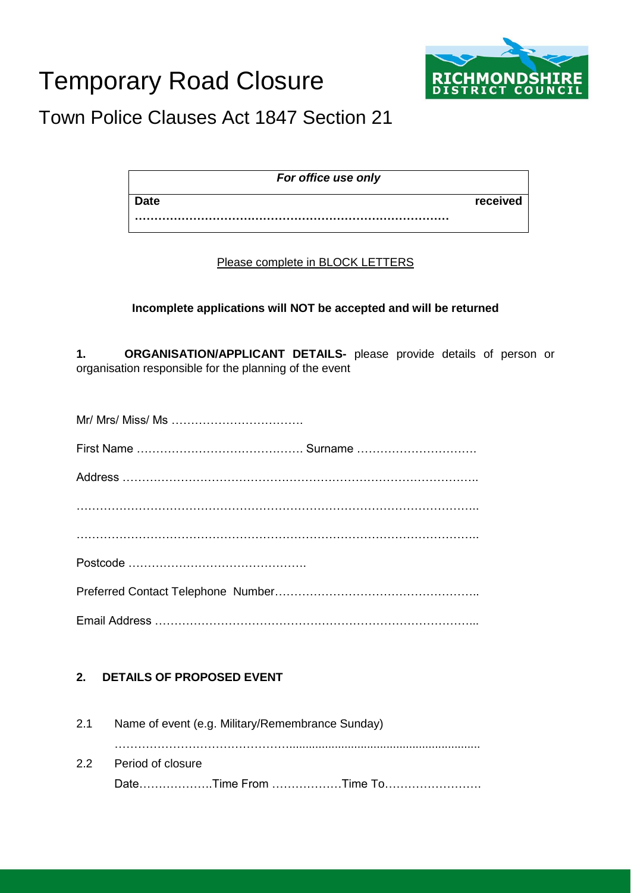# Temporary Road Closure



## Town Police Clauses Act 1847 Section 21

| For office use only |          |
|---------------------|----------|
| <b>Date</b>         | received |
|                     |          |

#### Please complete in BLOCK LETTERS

#### **Incomplete applications will NOT be accepted and will be returned**

**1. ORGANISATION/APPLICANT DETAILS-** please provide details of person or organisation responsible for the planning of the event

### **2. DETAILS OF PROPOSED EVENT**

| 2.1 |                       | Name of event (e.g. Military/Remembrance Sunday) |                       |
|-----|-----------------------|--------------------------------------------------|-----------------------|
|     | 2.2 Period of closure |                                                  |                       |
|     |                       |                                                  | DateTime From Time To |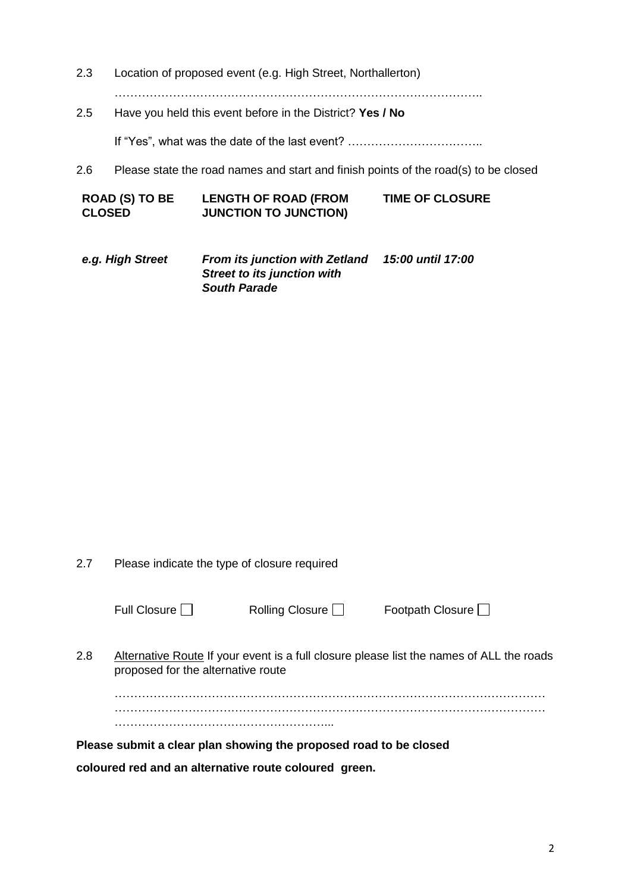2.3 Location of proposed event (e.g. High Street, Northallerton)

…………………………………………………………………………………..

2.5 Have you held this event before in the District? **Yes / No** 

If "Yes", what was the date of the last event? ……………………………..

2.6 Please state the road names and start and finish points of the road(s) to be closed

| <b>ROAD (S) TO BE</b> | <b>LENGTH OF ROAD (FROM</b>  | <b>TIME OF CLOSURE</b> |
|-----------------------|------------------------------|------------------------|
| <b>CLOSED</b>         | <b>JUNCTION TO JUNCTION)</b> |                        |

*e.g. High Street From its junction with Zetland 15:00 until 17:00 Street to its junction with South Parade*

2.7 Please indicate the type of closure required

| Rolling Closurด |  |
|-----------------|--|
|-----------------|--|

Rolling Closure  $\Box$  Footpath Closure  $\Box$ 

2.8 Alternative Route If your event is a full closure please list the names of ALL the roads proposed for the alternative route

………………………………………………………………………………………………… ………………………………………………………………………………………………… ………………………………………………...

**Please submit a clear plan showing the proposed road to be closed**

**coloured red and an alternative route coloured green.**